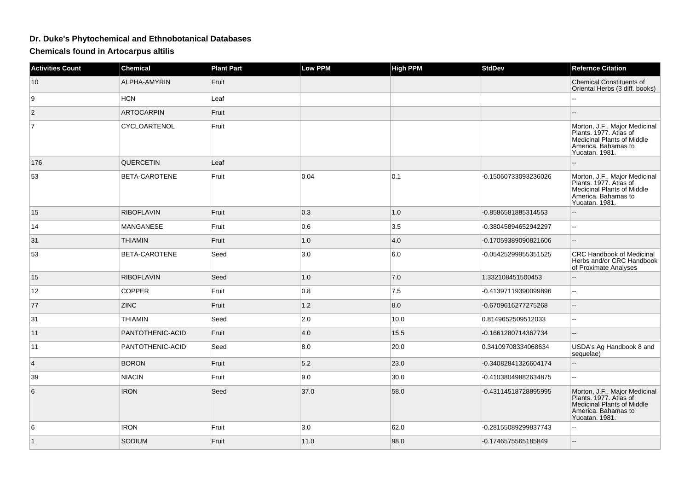## **Dr. Duke's Phytochemical and Ethnobotanical Databases**

**Chemicals found in Artocarpus altilis**

| <b>Activities Count</b> | <b>Chemical</b>   | <b>Plant Part</b> | <b>Low PPM</b> | <b>High PPM</b> | <b>StdDev</b>        | <b>Refernce Citation</b>                                                                                                                                 |
|-------------------------|-------------------|-------------------|----------------|-----------------|----------------------|----------------------------------------------------------------------------------------------------------------------------------------------------------|
| 10                      | ALPHA-AMYRIN      | Fruit             |                |                 |                      | Chemical Constituents of<br>Oriental Herbs (3 diff. books)                                                                                               |
| 9                       | <b>HCN</b>        | Leaf              |                |                 |                      |                                                                                                                                                          |
| $\overline{2}$          | <b>ARTOCARPIN</b> | Fruit             |                |                 |                      |                                                                                                                                                          |
| $\overline{7}$          | CYCLOARTENOL      | Fruit             |                |                 |                      | Morton, J.F., Major Medicinal<br>Plants. 1977. Atlas of<br>Medicinal Plants of Middle<br>America. Bahamas to<br>Yucatan. 1981.                           |
| 176                     | QUERCETIN         | Leaf              |                |                 |                      |                                                                                                                                                          |
| 53                      | BETA-CAROTENE     | Fruit             | 0.04           | 0.1             | -0.15060733093236026 | Morton, J.F., Major Medicinal<br>Plants. 1977. Atlas of<br>Plants. 1977. Atlas of<br>Medicinal Plants of Middle<br>America. Bahamas to<br>Yucatan. 1981. |
| 15                      | <b>RIBOFLAVIN</b> | Fruit             | 0.3            | 1.0             | -0.8586581885314553  |                                                                                                                                                          |
| 14                      | MANGANESE         | Fruit             | 0.6            | 3.5             | -0.38045894652942297 | $\overline{a}$                                                                                                                                           |
| 31                      | <b>THIAMIN</b>    | Fruit             | 1.0            | 4.0             | -0.17059389090821606 | $\mathbf{u}$                                                                                                                                             |
| 53                      | BETA-CAROTENE     | Seed              | 3.0            | 6.0             | -0.05425299955351525 | <b>CRC Handbook of Medicinal</b><br>Herbs and/or CRC Handbook<br>of Proximate Analyses                                                                   |
| 15                      | <b>RIBOFLAVIN</b> | Seed              | 1.0            | 7.0             | 1.332108451500453    |                                                                                                                                                          |
| 12                      | <b>COPPER</b>     | Fruit             | 0.8            | 7.5             | -0.41397119390099896 | $\overline{a}$                                                                                                                                           |
| 77                      | <b>ZINC</b>       | Fruit             | 1.2            | 8.0             | -0.6709616277275268  |                                                                                                                                                          |
| 31                      | <b>THIAMIN</b>    | Seed              | 2.0            | 10.0            | 0.8149652509512033   | $\overline{a}$                                                                                                                                           |
| 11                      | PANTOTHENIC-ACID  | Fruit             | 4.0            | 15.5            | -0.1661280714367734  | $\overline{a}$                                                                                                                                           |
| 11                      | PANTOTHENIC-ACID  | Seed              | 8.0            | 20.0            | 0.34109708334068634  | USDA's Ag Handbook 8 and<br>sequelae)                                                                                                                    |
| $\overline{4}$          | <b>BORON</b>      | Fruit             | 5.2            | 23.0            | -0.34082841326604174 | Ξ.                                                                                                                                                       |
| 39                      | <b>NIACIN</b>     | Fruit             | 9.0            | 30.0            | -0.41038049882634875 | ш.                                                                                                                                                       |
| 6                       | <b>IRON</b>       | Seed              | 37.0           | 58.0            | -0.43114518728895995 | Morton, J.F., Major Medicinal<br>Plants. 1977. Atlas of<br>Medicinal Plants of Middle<br>America. Bahamas to<br>Yucatan. 1981.                           |
| 6                       | <b>IRON</b>       | Fruit             | 3.0            | 62.0            | -0.28155089299837743 |                                                                                                                                                          |
| $\vert$ 1               | SODIUM            | Fruit             | 11.0           | 98.0            | -0.1746575565185849  |                                                                                                                                                          |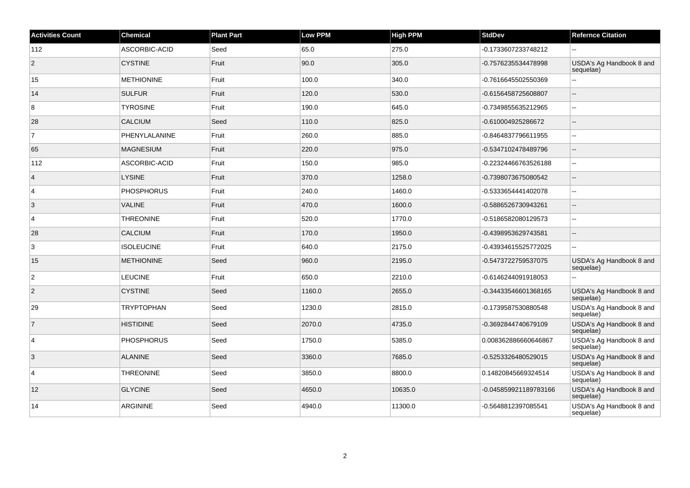| <b>Activities Count</b> | <b>Chemical</b>   | <b>Plant Part</b> | Low PPM | <b>High PPM</b> | <b>StdDev</b>         | <b>Refernce Citation</b>              |
|-------------------------|-------------------|-------------------|---------|-----------------|-----------------------|---------------------------------------|
| 112                     | ASCORBIC-ACID     | Seed              | 65.0    | 275.0           | -0.1733607233748212   |                                       |
| 2                       | <b>CYSTINE</b>    | Fruit             | 90.0    | 305.0           | -0.7576235534478998   | USDA's Ag Handbook 8 and<br>sequelae) |
| 15                      | <b>METHIONINE</b> | Fruit             | 100.0   | 340.0           | -0.7616645502550369   | $\sim$ $\sim$                         |
| 14                      | <b>SULFUR</b>     | Fruit             | 120.0   | 530.0           | -0.6156458725608807   | $\sim$                                |
| 8                       | <b>TYROSINE</b>   | Fruit             | 190.0   | 645.0           | -0.7349855635212965   | $\sim$                                |
| 28                      | <b>CALCIUM</b>    | Seed              | 110.0   | 825.0           | -0.610004925286672    | $\sim$                                |
| $\overline{7}$          | PHENYLALANINE     | Fruit             | 260.0   | 885.0           | -0.8464837796611955   | $\ddotsc$                             |
| 65                      | <b>MAGNESIUM</b>  | Fruit             | 220.0   | 975.0           | -0.5347102478489796   | $\overline{\phantom{a}}$              |
| 112                     | ASCORBIC-ACID     | Fruit             | 150.0   | 985.0           | -0.22324466763526188  | $\sim$                                |
| $\overline{4}$          | <b>LYSINE</b>     | Fruit             | 370.0   | 1258.0          | -0.7398073675080542   | $\sim$                                |
| 4                       | <b>PHOSPHORUS</b> | Fruit             | 240.0   | 1460.0          | -0.5333654441402078   | $\sim$                                |
| 3                       | <b>VALINE</b>     | Fruit             | 470.0   | 1600.0          | -0.5886526730943261   | $\overline{a}$                        |
| 4                       | <b>THREONINE</b>  | Fruit             | 520.0   | 1770.0          | -0.5186582080129573   | $\sim$                                |
| 28                      | <b>CALCIUM</b>    | Fruit             | 170.0   | 1950.0          | -0.4398953629743581   | $\overline{\phantom{a}}$              |
| 3                       | <b>ISOLEUCINE</b> | Fruit             | 640.0   | 2175.0          | -0.43934615525772025  | $\sim$                                |
| 15                      | <b>METHIONINE</b> | Seed              | 960.0   | 2195.0          | -0.5473722759537075   | USDA's Ag Handbook 8 and<br>sequelae) |
| $\overline{2}$          | <b>LEUCINE</b>    | Fruit             | 650.0   | 2210.0          | -0.6146244091918053   | $\mathbf{u}$                          |
| $\overline{2}$          | <b>CYSTINE</b>    | Seed              | 1160.0  | 2655.0          | -0.34433546601368165  | USDA's Ag Handbook 8 and<br>sequelae) |
| 29                      | <b>TRYPTOPHAN</b> | Seed              | 1230.0  | 2815.0          | -0.1739587530880548   | USDA's Ag Handbook 8 and<br>sequelae) |
| $\overline{7}$          | <b>HISTIDINE</b>  | Seed              | 2070.0  | 4735.0          | -0.3692844740679109   | USDA's Ag Handbook 8 and<br>sequelae) |
| $\overline{4}$          | <b>PHOSPHORUS</b> | Seed              | 1750.0  | 5385.0          | 0.008362886660646867  | USDA's Ag Handbook 8 and<br>sequelae) |
| 3                       | <b>ALANINE</b>    | Seed              | 3360.0  | 7685.0          | -0.5253326480529015   | USDA's Ag Handbook 8 and<br>sequelae) |
| $\overline{4}$          | <b>THREONINE</b>  | Seed              | 3850.0  | 8800.0          | 0.14820845669324514   | USDA's Ag Handbook 8 and<br>sequelae) |
| 12                      | <b>GLYCINE</b>    | Seed              | 4650.0  | 10635.0         | -0.045859921189783166 | USDA's Ag Handbook 8 and<br>sequelae) |
| 14                      | <b>ARGININE</b>   | Seed              | 4940.0  | 11300.0         | -0.5648812397085541   | USDA's Ag Handbook 8 and<br>sequelae) |